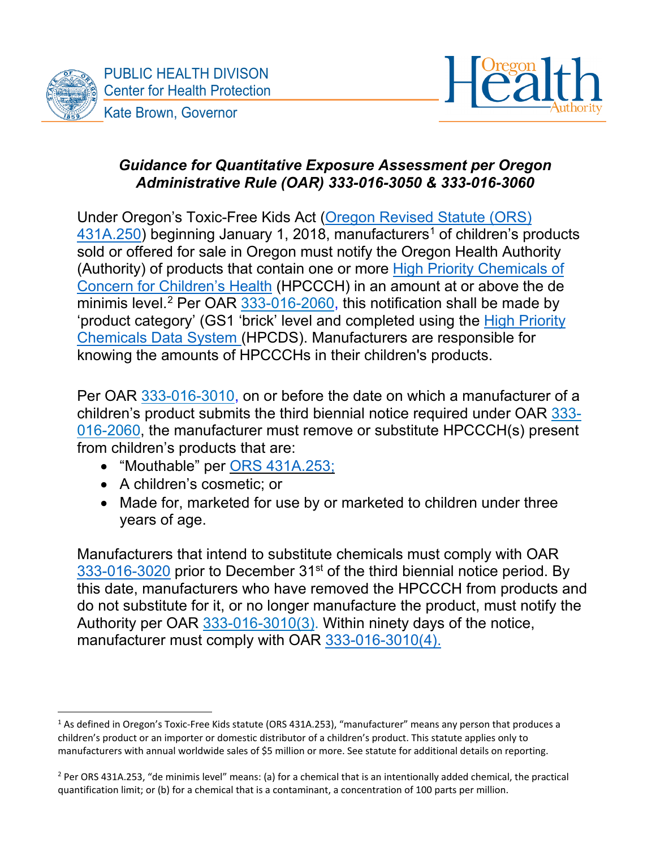



# *Guidance for Quantitative Exposure Assessment per Oregon Administrative Rule (OAR) 333-016-3050 & 333-016-3060*

Under Oregon's Toxic-Free Kids Act [\(Oregon Revised Statute \(ORS\)](https://www.oregonlegislature.gov/bills_laws/ors/ors431a.html)  $431A.250$  $431A.250$  $431A.250$ ) beginning January 1, 2018, manufacturers<sup>1</sup> of children's products sold or offered for sale in Oregon must notify the Oregon Health Authority (Authority) of products that contain one or more [High Priority Chemicals of](https://secure.sos.state.or.us/oard/viewSingleRule.action?ruleVrsnRsn=276960)  [Concern for Children's Health](https://secure.sos.state.or.us/oard/viewSingleRule.action?ruleVrsnRsn=276960) (HPCCCH) in an amount at or above the de minimis level.<sup>[2](#page-0-1)</sup> Per OAR <u>333-016-2060</u>, this notification shall be made by 'product category' (GS1 'brick' level and completed using the [High Priority](http://theic2.org/hpcds#gsc.tab=0)  [Chemicals Data System](http://theic2.org/hpcds#gsc.tab=0) (HPCDS). Manufacturers are responsible for knowing the amounts of HPCCCHs in their children's products.

Per OAR [333-016-3010,](https://secure.sos.state.or.us/oard/viewSingleRule.action?ruleVrsnRsn=276970) on or before the date on which a manufacturer of a children's product submits the third biennial notice required under OAR [333-](https://secure.sos.state.or.us/oard/viewSingleRule.action?ruleVrsnRsn=276965) [016-2060,](https://secure.sos.state.or.us/oard/viewSingleRule.action?ruleVrsnRsn=276965) the manufacturer must remove or substitute HPCCCH(s) present from children's products that are:

- "Mouthable" per ORS [431A.253;](https://www.oregonlegislature.gov/bills_laws/ors/ors431a.html)
- A children's cosmetic; or
- Made for, marketed for use by or marketed to children under three years of age.

Manufacturers that intend to substitute chemicals must comply with OAR [333-016-3020](https://secure.sos.state.or.us/oard/viewSingleRule.action?ruleVrsnRsn=276972) prior to December 31<sup>st</sup> of the third biennial notice period. By this date, manufacturers who have removed the HPCCCH from products and do not substitute for it, or no longer manufacture the product, must notify the Authority per OAR [333-016-3010\(](https://secure.sos.state.or.us/oard/viewSingleRule.action?ruleVrsnRsn=276970)3). Within ninety days of the notice, manufacturer must comply with OAR [333-016-3010\(4\).](https://secure.sos.state.or.us/oard/viewSingleRule.action?ruleVrsnRsn=276970)

<span id="page-0-0"></span><sup>1</sup> As defined in Oregon's Toxic-Free Kids statute (ORS 431A.253), "manufacturer" means any person that produces a children's product or an importer or domestic distributor of a children's product. This statute applies only to manufacturers with annual worldwide sales of \$5 million or more. See statute for additional details on reporting.

<span id="page-0-1"></span> $2$  Per ORS 431A.253, "de minimis level" means: (a) for a chemical that is an intentionally added chemical, the practical quantification limit; or (b) for a chemical that is a contaminant, a concentration of 100 parts per million.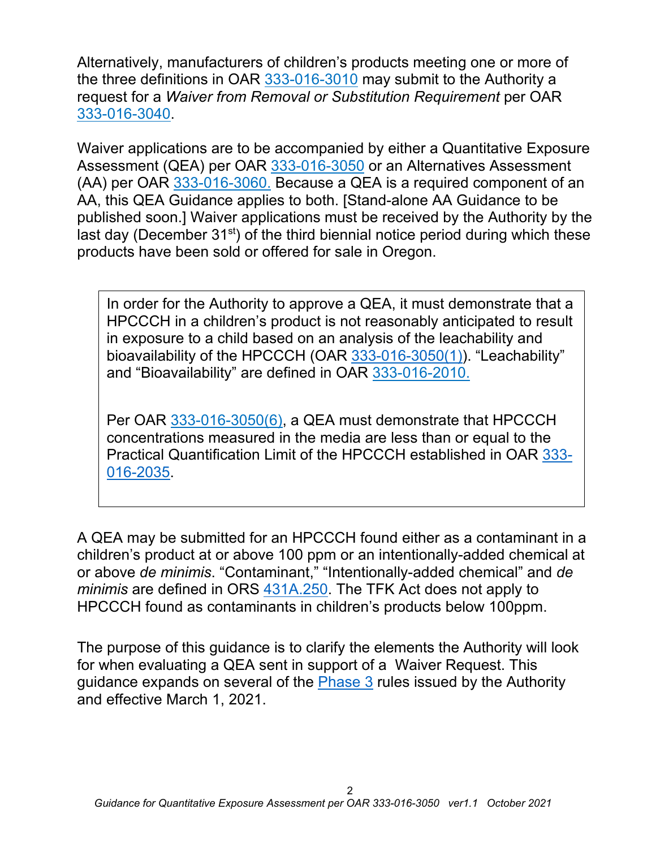Alternatively, manufacturers of children's products meeting one or more of the three definitions in OAR [333-016-3010](https://secure.sos.state.or.us/oard/viewSingleRule.action?ruleVrsnRsn=276970) may submit to the Authority a request for a *Waiver from Removal or Substitution Requirement* per OAR [333-016-3040.](https://secure.sos.state.or.us/oard/viewSingleRule.action?ruleVrsnRsn=276974)

Waiver applications are to be accompanied by either a Quantitative Exposure Assessment (QEA) per OAR [333-016-3050](https://secure.sos.state.or.us/oard/viewSingleRule.action?ruleVrsnRsn=276975) or an Alternatives Assessment (AA) per OAR [333-016-3060.](https://secure.sos.state.or.us/oard/viewSingleRule.action?ruleVrsnRsn=276976) Because a QEA is a required component of an AA, this QEA Guidance applies to both. [Stand-alone AA Guidance to be published soon.] Waiver applications must be received by the Authority by the last day (December  $31<sup>st</sup>$ ) of the third biennial notice period during which these products have been sold or offered for sale in Oregon.

In order for the Authority to approve a QEA, it must demonstrate that a HPCCCH in a children's product is not reasonably anticipated to result in exposure to a child based on an analysis of the leachability and bioavailability of the HPCCCH (OAR [333-016-3050\(1\)\)](https://secure.sos.state.or.us/oard/viewSingleRule.action?ruleVrsnRsn=276975). "Leachability" and "Bioavailability" are defined in OAR [333-016-2010.](https://secure.sos.state.or.us/oard/viewSingleRule.action?ruleVrsnRsn=276959)

Per OAR [333-016-3050\(](https://secure.sos.state.or.us/oard/viewSingleRule.action?ruleVrsnRsn=276975)6), a QEA must demonstrate that HPCCCH concentrations measured in the media are less than or equal to the Practical Quantification Limit of the HPCCCH established in OAR [333-](https://secure.sos.state.or.us/oard/viewSingleRule.action?ruleVrsnRsn=276962) [016-2035.](https://secure.sos.state.or.us/oard/viewSingleRule.action?ruleVrsnRsn=276962)

A QEA may be submitted for an HPCCCH found either as a contaminant in a children's product at or above 100 ppm or an intentionally-added chemical at or above *de minimis*. "Contaminant," "Intentionally-added chemical" and *de minimis* are defined in ORS [431A.250.](https://www.oregonlegislature.gov/bills_laws/ors/ors431a.html) The TFK Act does not apply to HPCCCH found as contaminants in children's products below 100ppm.

The purpose of this guidance is to clarify the elements the Authority will look for when evaluating a QEA sent in support of a Waiver Request. This guidance expands on several of the [Phase 3](https://www.oregon.gov/oha/PH/HEALTHYENVIRONMENTS/HEALTHYNEIGHBORHOODS/TOXICSUBSTANCES/Pages/Toxic-Free-Rules.aspx#phase3) rules issued by the Authority and effective March 1, 2021.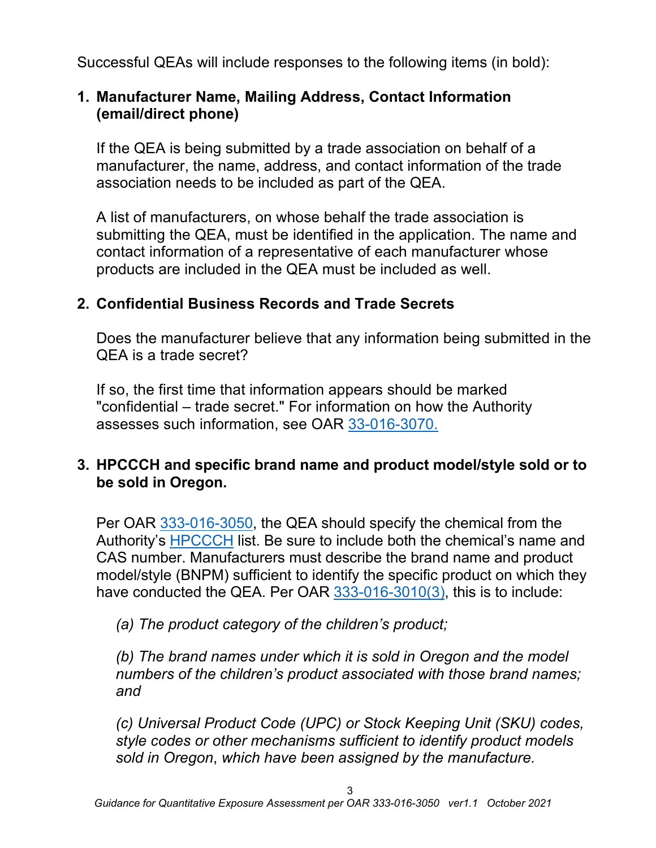Successful QEAs will include responses to the following items (in bold):

# **1. Manufacturer Name, Mailing Address, Contact Information (email/direct phone)**

If the QEA is being submitted by a trade association on behalf of a manufacturer, the name, address, and contact information of the trade association needs to be included as part of the QEA.

A list of manufacturers, on whose behalf the trade association is submitting the QEA, must be identified in the application. The name and contact information of a representative of each manufacturer whose products are included in the QEA must be included as well.

# **2. Confidential Business Records and Trade Secrets**

Does the manufacturer believe that any information being submitted in the QEA is a trade secret?

If so, the first time that information appears should be marked "confidential – trade secret." For information on how the Authority assesses such information, see OAR [33-016-3070.](https://secure.sos.state.or.us/oard/viewSingleRule.action?ruleVrsnRsn=276977)

# **3. HPCCCH and specific brand name and product model/style sold or to be sold in Oregon.**

Per OAR [333-016-3050,](https://secure.sos.state.or.us/oard/viewSingleRule.action?ruleVrsnRsn=276975) the QEA should specify the chemical from the Authority's [HPCCCH](https://secure.sos.state.or.us/oard/viewSingleRule.action?ruleVrsnRsn=276960) list. Be sure to include both the chemical's name and CAS number. Manufacturers must describe the brand name and product model/style (BNPM) sufficient to identify the specific product on which they have conducted the QEA. Per OAR [333-016-3010\(3\),](https://secure.sos.state.or.us/oard/viewSingleRule.action?ruleVrsnRsn=276970) this is to include:

*(a) The product category of the children's product;* 

*(b) The brand names under which it is sold in Oregon and the model numbers of the children's product associated with those brand names; and*

*(c) Universal Product Code (UPC) or Stock Keeping Unit (SKU) codes, style codes or other mechanisms sufficient to identify product models sold in Oregon*, *which have been assigned by the manufacture.*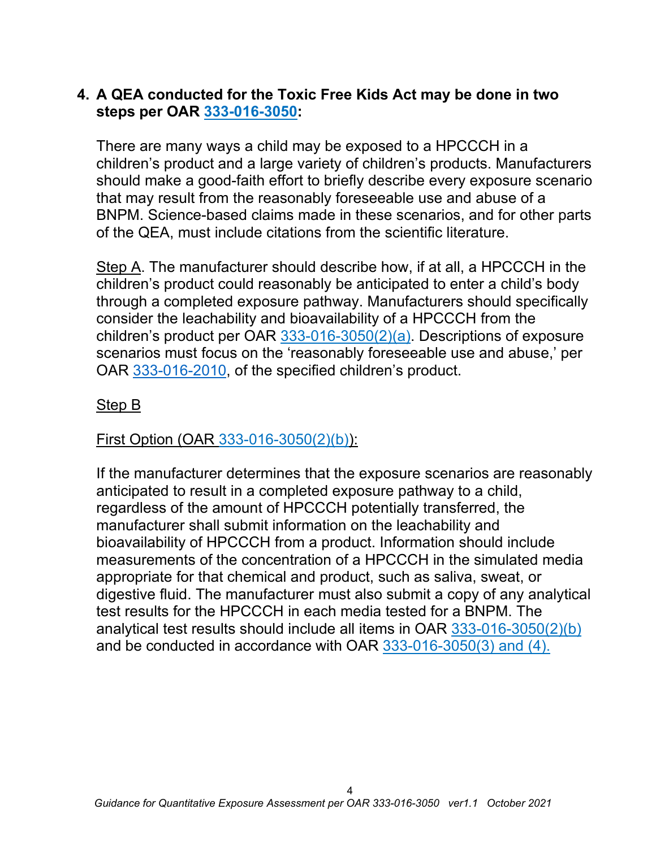## **4. A QEA conducted for the Toxic Free Kids Act may be done in two steps per OAR [333-016-3050:](https://secure.sos.state.or.us/oard/viewSingleRule.action?ruleVrsnRsn=276975)**

There are many ways a child may be exposed to a HPCCCH in a children's product and a large variety of children's products. Manufacturers should make a good-faith effort to briefly describe every exposure scenario that may result from the reasonably foreseeable use and abuse of a BNPM. Science-based claims made in these scenarios, and for other parts of the QEA, must include citations from the scientific literature.

Step A. The manufacturer should describe how, if at all, a HPCCCH in the children's product could reasonably be anticipated to enter a child's body through a completed exposure pathway. Manufacturers should specifically consider the leachability and bioavailability of a HPCCCH from the children's product per OAR [333-016-3050\(](https://secure.sos.state.or.us/oard/viewSingleRule.action?ruleVrsnRsn=276975)2)(a). Descriptions of exposure scenarios must focus on the 'reasonably foreseeable use and abuse,' per OAR [333-016-2010,](https://secure.sos.state.or.us/oard/viewSingleRule.action?ruleVrsnRsn=276959) of the specified children's product.

## Step B

First Option (OAR [333-016-3050\(](https://secure.sos.state.or.us/oard/viewSingleRule.action?ruleVrsnRsn=276975)2)(b)):

If the manufacturer determines that the exposure scenarios are reasonably anticipated to result in a completed exposure pathway to a child, regardless of the amount of HPCCCH potentially transferred, the manufacturer shall submit information on the leachability and bioavailability of HPCCCH from a product. Information should include measurements of the concentration of a HPCCCH in the simulated media appropriate for that chemical and product, such as saliva, sweat, or digestive fluid. The manufacturer must also submit a copy of any analytical test results for the HPCCCH in each media tested for a BNPM. The analytical test results should include all items in OAR [333-016-3050\(](https://secure.sos.state.or.us/oard/viewSingleRule.action?ruleVrsnRsn=276975)2)(b) and be conducted in accordance with OAR [333-016-3050\(](https://secure.sos.state.or.us/oard/viewSingleRule.action?ruleVrsnRsn=276975)3) and (4).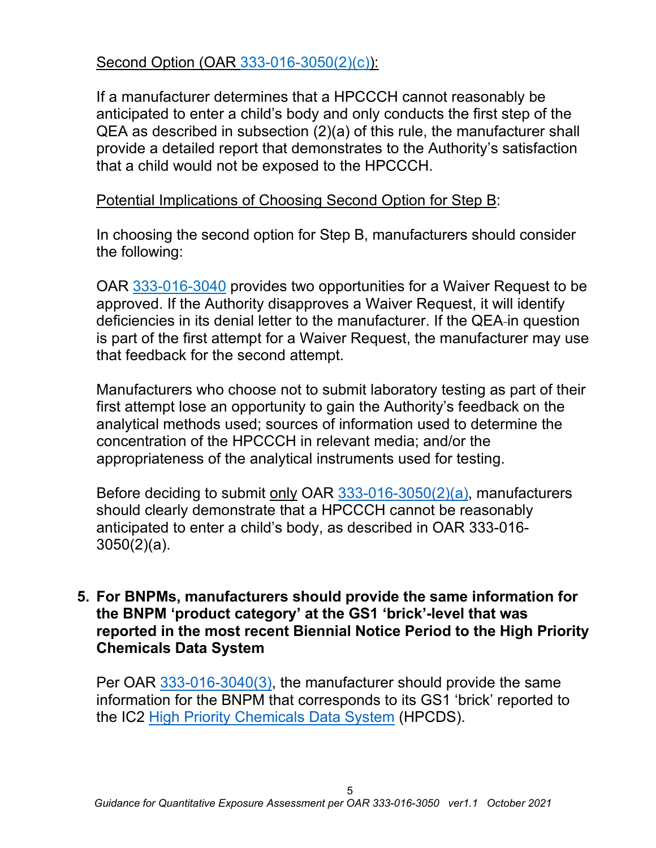Second Option (OAR [333-016-3050\(](https://secure.sos.state.or.us/oard/viewSingleRule.action?ruleVrsnRsn=276975)2)(c)):

If a manufacturer determines that a HPCCCH cannot reasonably be anticipated to enter a child's body and only conducts the first step of the QEA as described in subsection (2)(a) of this rule, the manufacturer shall provide a detailed report that demonstrates to the Authority's satisfaction that a child would not be exposed to the HPCCCH.

#### Potential Implications of Choosing Second Option for Step B:

In choosing the second option for Step B, manufacturers should consider the following:

OAR [333-016-3040](https://secure.sos.state.or.us/oard/viewSingleRule.action?ruleVrsnRsn=276974) provides two opportunities for a Waiver Request to be approved. If the Authority disapproves a Waiver Request, it will identify deficiencies in its denial letter to the manufacturer. If the QEA in question is part of the first attempt for a Waiver Request, the manufacturer may use that feedback for the second attempt.

Manufacturers who choose not to submit laboratory testing as part of their first attempt lose an opportunity to gain the Authority's feedback on the analytical methods used; sources of information used to determine the concentration of the HPCCCH in relevant media; and/or the appropriateness of the analytical instruments used for testing.

Before deciding to submit only OAR [333-016-3050\(2\)\(a\),](https://secure.sos.state.or.us/oard/viewSingleRule.action?ruleVrsnRsn=276975) manufacturers should clearly demonstrate that a HPCCCH cannot be reasonably anticipated to enter a child's body, as described in OAR 333-016- 3050(2)(a).

#### **5. For BNPMs, manufacturers should provide the same information for the BNPM 'product category' at the GS1 'brick'-level that was reported in the most recent Biennial Notice Period to the High Priority Chemicals Data System**

Per OAR [333-016-3040\(3\),](https://secure.sos.state.or.us/oard/viewSingleRule.action?ruleVrsnRsn=276974) the manufacturer should provide the same information for the BNPM that corresponds to its GS1 'brick' reported to the IC2 [High Priority Chemicals Data System](http://theic2.org/hpcds#gsc.tab=0) (HPCDS).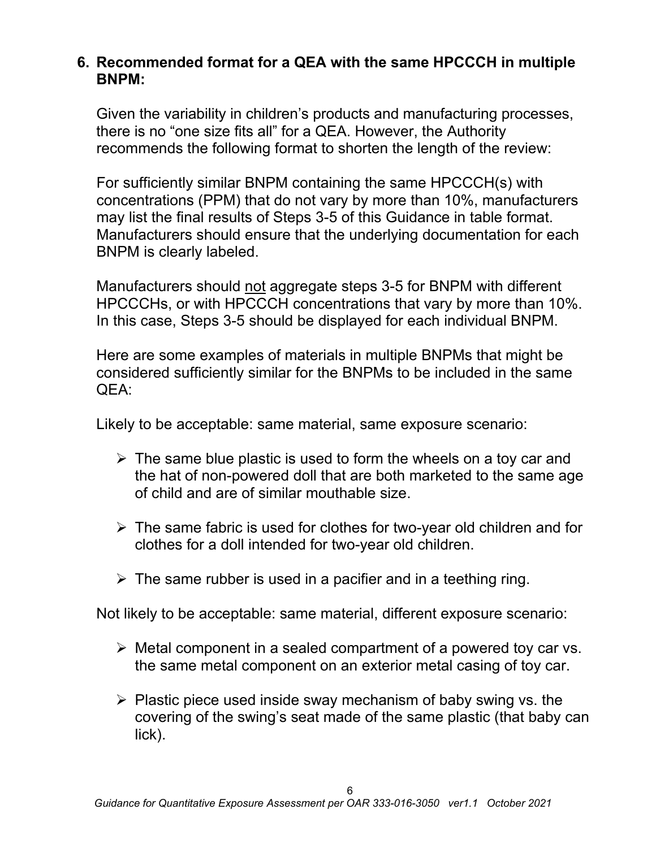## **6. Recommended format for a QEA with the same HPCCCH in multiple BNPM:**

Given the variability in children's products and manufacturing processes, there is no "one size fits all" for a QEA. However, the Authority recommends the following format to shorten the length of the review:

For sufficiently similar BNPM containing the same HPCCCH(s) with concentrations (PPM) that do not vary by more than 10%, manufacturers may list the final results of Steps 3-5 of this Guidance in table format. Manufacturers should ensure that the underlying documentation for each BNPM is clearly labeled.

Manufacturers should not aggregate steps 3-5 for BNPM with different HPCCCHs, or with HPCCCH concentrations that vary by more than 10%. In this case, Steps 3-5 should be displayed for each individual BNPM.

Here are some examples of materials in multiple BNPMs that might be considered sufficiently similar for the BNPMs to be included in the same QEA:

Likely to be acceptable: same material, same exposure scenario:

- $\triangleright$  The same blue plastic is used to form the wheels on a toy car and the hat of non-powered doll that are both marketed to the same age of child and are of similar mouthable size.
- $\triangleright$  The same fabric is used for clothes for two-year old children and for clothes for a doll intended for two-year old children.
- $\triangleright$  The same rubber is used in a pacifier and in a teething ring.

Not likely to be acceptable: same material, different exposure scenario:

- $\triangleright$  Metal component in a sealed compartment of a powered toy car vs. the same metal component on an exterior metal casing of toy car.
- $\triangleright$  Plastic piece used inside sway mechanism of baby swing vs. the covering of the swing's seat made of the same plastic (that baby can lick).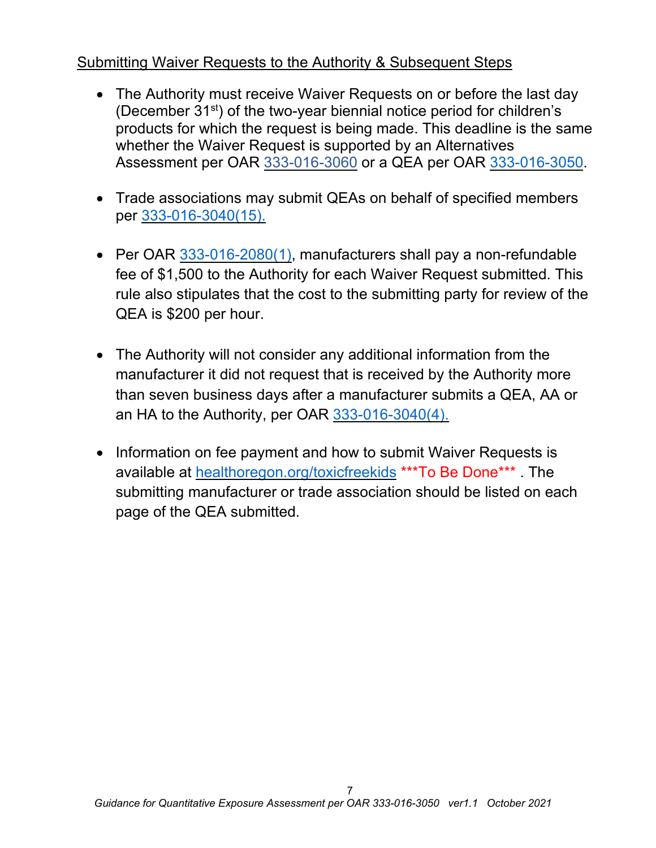# Submitting Waiver Requests to the Authority & Subsequent Steps

- The Authority must receive Waiver Requests on or before the last day (December  $31<sup>st</sup>$ ) of the two-year biennial notice period for children's products for which the request is being made. This deadline is the same whether the Waiver Request is supported by an Alternatives Assessment per OAR [333-016-3060](https://secure.sos.state.or.us/oard/viewSingleRule.action?ruleVrsnRsn=276976) or a QEA per OAR [333-016-3050.](https://secure.sos.state.or.us/oard/viewSingleRule.action?ruleVrsnRsn=276975)
- Trade associations may submit QEAs on behalf of specified members per [333-016-3040\(15\).](https://secure.sos.state.or.us/oard/viewSingleRule.action?ruleVrsnRsn=276974)
- Per OAR [333-016-2080\(1\),](https://secure.sos.state.or.us/oard/viewSingleRule.action?ruleVrsnRsn=276968) manufacturers shall pay a non-refundable fee of \$1,500 to the Authority for each Waiver Request submitted. This rule also stipulates that the cost to the submitting party for review of the QEA is \$200 per hour.
- The Authority will not consider any additional information from the manufacturer it did not request that is received by the Authority more than seven business days after a manufacturer submits a QEA, AA or an HA to the Authority, per OAR [333-016-3040\(4\).](https://secure.sos.state.or.us/oard/viewSingleRule.action?ruleVrsnRsn=276974)
- Information on fee payment and how to submit Waiver Requests is available at [healthoregon.org/toxicfreekids](http://public.health.oregon.gov/HealthyEnvironments/HealthyNeighborhoods/ToxicSubstances/Pages/Toxic-Free-Kids.aspx) \*\*\*To Be Done\*\*\* . The submitting manufacturer or trade association should be listed on each page of the QEA submitted.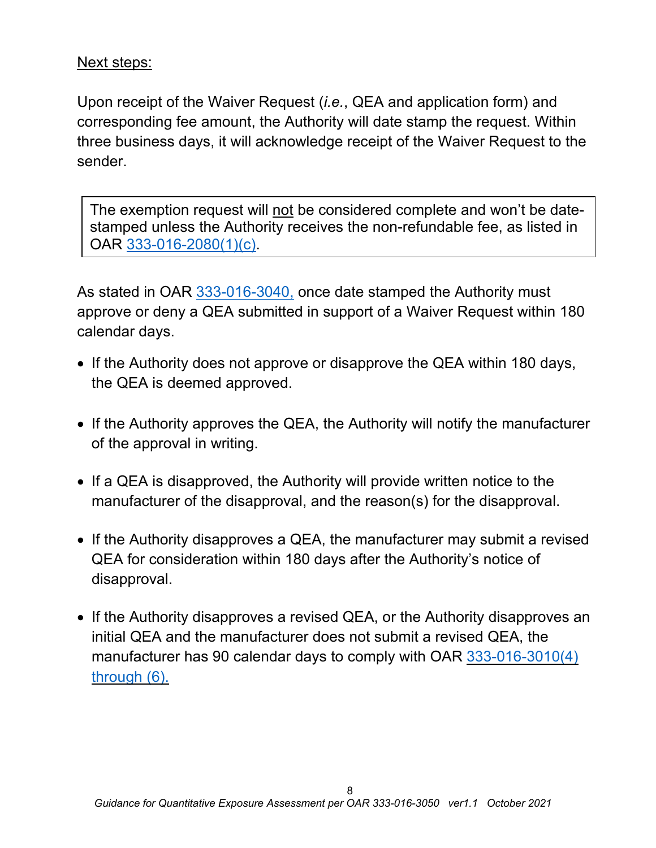# Next steps:

Upon receipt of the Waiver Request (*i.e.*, QEA and application form) and corresponding fee amount, the Authority will date stamp the request. Within three business days, it will acknowledge receipt of the Waiver Request to the sender.

The exemption request will not be considered complete and won't be datestamped unless the Authority receives the non-refundable fee, as listed in OAR [333-016-2080\(1\)\(c\).](https://secure.sos.state.or.us/oard/viewSingleRule.action?ruleVrsnRsn=276968)

As stated in OAR [333-016-3040,](https://secure.sos.state.or.us/oard/viewSingleRule.action?ruleVrsnRsn=276974) once date stamped the Authority must approve or deny a QEA submitted in support of a Waiver Request within 180 calendar days.

- If the Authority does not approve or disapprove the QEA within 180 days, the QEA is deemed approved.
- If the Authority approves the QEA, the Authority will notify the manufacturer of the approval in writing.
- If a QEA is disapproved, the Authority will provide written notice to the manufacturer of the disapproval, and the reason(s) for the disapproval.
- If the Authority disapproves a QEA, the manufacturer may submit a revised QEA for consideration within 180 days after the Authority's notice of disapproval.
- If the Authority disapproves a revised QEA, or the Authority disapproves an initial QEA and the manufacturer does not submit a revised QEA, the manufacturer has 90 calendar days to comply with OAR [333-016-3010\(4\)](https://secure.sos.state.or.us/oard/viewSingleRule.action?ruleVrsnRsn=276970) [through](https://secure.sos.state.or.us/oard/viewSingleRule.action?ruleVrsnRsn=276970) (6).